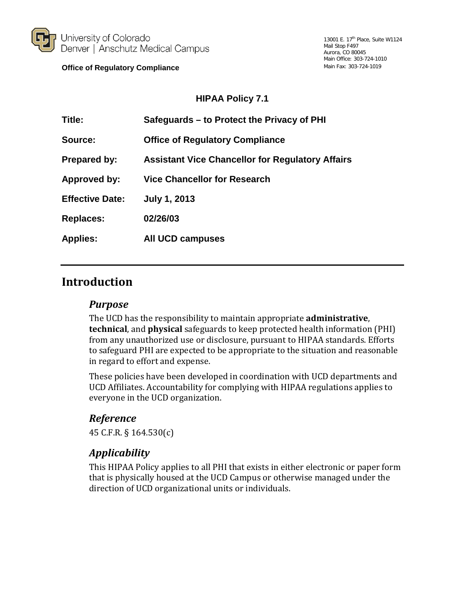

**Office of Regulatory Compliance**

#### **HIPAA Policy 7.1**

| Title:                 | Safeguards – to Protect the Privacy of PHI              |
|------------------------|---------------------------------------------------------|
| Source:                | <b>Office of Regulatory Compliance</b>                  |
| <b>Prepared by:</b>    | <b>Assistant Vice Chancellor for Regulatory Affairs</b> |
| Approved by:           | <b>Vice Chancellor for Research</b>                     |
| <b>Effective Date:</b> | <b>July 1, 2013</b>                                     |
| <b>Replaces:</b>       | 02/26/03                                                |
| <b>Applies:</b>        | All UCD campuses                                        |

# **Introduction**

### *Purpose*

The UCD has the responsibility to maintain appropriate **administrative**, **technical**, and **physical** safeguards to keep protected health information (PHI) from any unauthorized use or disclosure, pursuant to HIPAA standards. Efforts to safeguard PHI are expected to be appropriate to the situation and reasonable in regard to effort and expense.

These policies have been developed in coordination with UCD departments and UCD Affiliates. Accountability for complying with HIPAA regulations applies to everyone in the UCD organization.

## *Reference*

45 C.F.R. § 164.530(c)

## *Applicability*

This HIPAA Policy applies to all PHI that exists in either electronic or paper form that is physically housed at the UCD Campus or otherwise managed under the direction of UCD organizational units or individuals.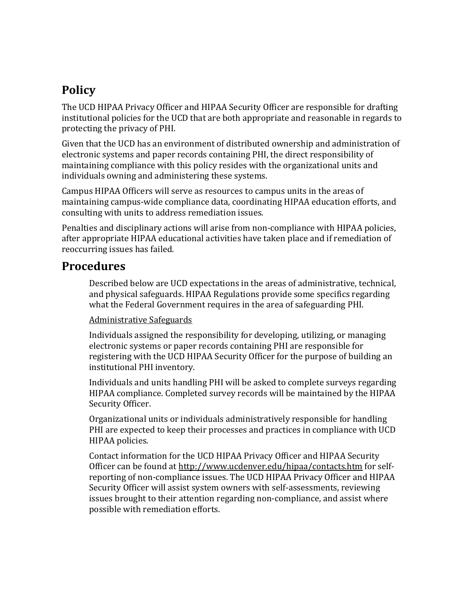# **Policy**

The UCD HIPAA Privacy Officer and HIPAA Security Officer are responsible for drafting institutional policies for the UCD that are both appropriate and reasonable in regards to protecting the privacy of PHI.

Given that the UCD has an environment of distributed ownership and administration of electronic systems and paper records containing PHI, the direct responsibility of maintaining compliance with this policy resides with the organizational units and individuals owning and administering these systems.

Campus HIPAA Officers will serve as resources to campus units in the areas of maintaining campus-wide compliance data, coordinating HIPAA education efforts, and consulting with units to address remediation issues.

Penalties and disciplinary actions will arise from non-compliance with HIPAA policies, after appropriate HIPAA educational activities have taken place and if remediation of reoccurring issues has failed.

## **Procedures**

Described below are UCD expectations in the areas of administrative, technical, and physical safeguards. HIPAA Regulations provide some specifics regarding what the Federal Government requires in the area of safeguarding PHI.

#### Administrative Safeguards

Individuals assigned the responsibility for developing, utilizing, or managing electronic systems or paper records containing PHI are responsible for registering with the UCD HIPAA Security Officer for the purpose of building an institutional PHI inventory.

Individuals and units handling PHI will be asked to complete surveys regarding HIPAA compliance. Completed survey records will be maintained by the HIPAA Security Officer.

Organizational units or individuals administratively responsible for handling PHI are expected to keep their processes and practices in compliance with UCD HIPAA policies.

Contact information for the UCD HIPAA Privacy Officer and HIPAA Security Officer can be found at http://www.ucdenver.edu/hipaa/contacts.htm for selfreporting of non-compliance issues. The UCD HIPAA Privacy Officer and HIPAA Security Officer will assist system owners with self-assessments, reviewing issues brought to their attention regarding non-compliance, and assist where possible with remediation efforts.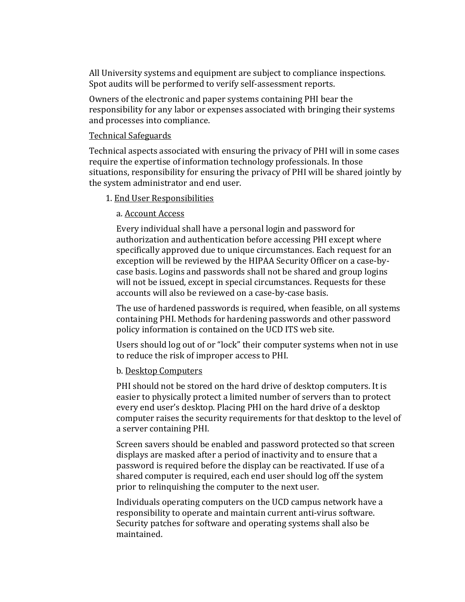All University systems and equipment are subject to compliance inspections. Spot audits will be performed to verify self-assessment reports.

Owners of the electronic and paper systems containing PHI bear the responsibility for any labor or expenses associated with bringing their systems and processes into compliance.

#### Technical Safeguards

Technical aspects associated with ensuring the privacy of PHI will in some cases require the expertise of information technology professionals. In those situations, responsibility for ensuring the privacy of PHI will be shared jointly by the system administrator and end user.

#### 1. End User Responsibilities

#### a. Account Access

Every individual shall have a personal login and password for authorization and authentication before accessing PHI except where specifically approved due to unique circumstances. Each request for an exception will be reviewed by the HIPAA Security Officer on a case-bycase basis. Logins and passwords shall not be shared and group logins will not be issued, except in special circumstances. Requests for these accounts will also be reviewed on a case-by-case basis.

The use of hardened passwords is required, when feasible, on all systems containing PHI. Methods for hardening passwords and other password policy information is contained on the UCD ITS web site.

Users should log out of or "lock" their computer systems when not in use to reduce the risk of improper access to PHI.

#### b. Desktop Computers

PHI should not be stored on the hard drive of desktop computers. It is easier to physically protect a limited number of servers than to protect every end user's desktop. Placing PHI on the hard drive of a desktop computer raises the security requirements for that desktop to the level of a server containing PHI.

Screen savers should be enabled and password protected so that screen displays are masked after a period of inactivity and to ensure that a password is required before the display can be reactivated. If use of a shared computer is required, each end user should log off the system prior to relinquishing the computer to the next user.

Individuals operating computers on the UCD campus network have a responsibility to operate and maintain current anti-virus software. Security patches for software and operating systems shall also be maintained.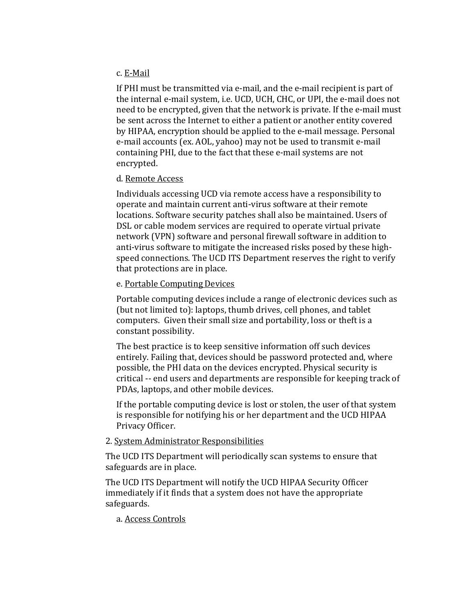#### c. E-Mail

If PHI must be transmitted via e-mail, and the e-mail recipient is part of the internal e-mail system, i.e. UCD, UCH, CHC, or UPI, the e-mail does not need to be encrypted, given that the network is private. If the e-mail must be sent across the Internet to either a patient or another entity covered by HIPAA, encryption should be applied to the e-mail message. Personal e-mail accounts (ex. AOL, yahoo) may not be used to transmit e-mail containing PHI, due to the fact that these e-mail systems are not encrypted.

#### d. Remote Access

Individuals accessing UCD via remote access have a responsibility to operate and maintain current anti-virus software at their remote locations. Software security patches shall also be maintained. Users of DSL or cable modem services are required to operate virtual private network (VPN) software and personal firewall software in addition to anti-virus software to mitigate the increased risks posed by these highspeed connections. The UCD ITS Department reserves the right to verify that protections are in place.

#### e. Portable Computing Devices

Portable computing devices include a range of electronic devices such as (but not limited to): laptops, thumb drives, cell phones, and tablet computers. Given their small size and portability, loss or theft is a constant possibility.

The best practice is to keep sensitive information off such devices entirely. Failing that, devices should be password protected and, where possible, the PHI data on the devices encrypted. Physical security is critical -- end users and departments are responsible for keeping track of PDAs, laptops, and other mobile devices.

If the portable computing device is lost or stolen, the user of that system is responsible for notifying his or her department and the UCD HIPAA Privacy Officer.

#### 2. System Administrator Responsibilities

The UCD ITS Department will periodically scan systems to ensure that safeguards are in place.

The UCD ITS Department will notify the UCD HIPAA Security Officer immediately if it finds that a system does not have the appropriate safeguards.

#### a. Access Controls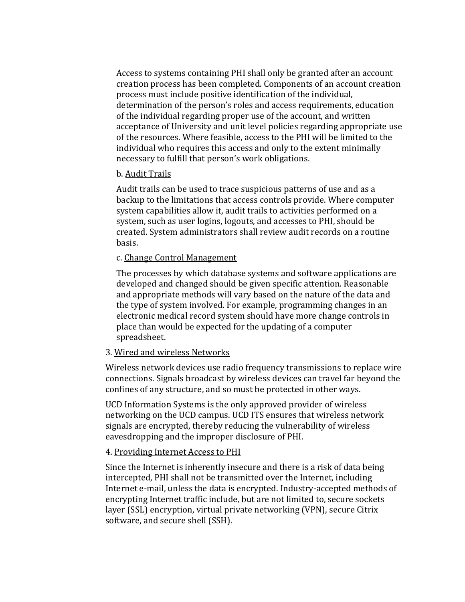Access to systems containing PHI shall only be granted after an account creation process has been completed. Components of an account creation process must include positive identification of the individual, determination of the person's roles and access requirements, education of the individual regarding proper use of the account, and written acceptance of University and unit level policies regarding appropriate use of the resources. Where feasible, access to the PHI will be limited to the individual who requires this access and only to the extent minimally necessary to fulfill that person's work obligations.

#### b. Audit Trails

Audit trails can be used to trace suspicious patterns of use and as a backup to the limitations that access controls provide. Where computer system capabilities allow it, audit trails to activities performed on a system, such as user logins, logouts, and accesses to PHI, should be created. System administrators shall review audit records on a routine basis.

#### c. Change Control Management

The processes by which database systems and software applications are developed and changed should be given specific attention. Reasonable and appropriate methods will vary based on the nature of the data and the type of system involved. For example, programming changes in an electronic medical record system should have more change controls in place than would be expected for the updating of a computer spreadsheet.

#### 3. Wired and wireless Networks

Wireless network devices use radio frequency transmissions to replace wire connections. Signals broadcast by wireless devices can travel far beyond the confines of any structure, and so must be protected in other ways.

UCD Information Systems is the only approved provider of wireless networking on the UCD campus. UCD ITS ensures that wireless network signals are encrypted, thereby reducing the vulnerability of wireless eavesdropping and the improper disclosure of PHI.

#### 4. Providing Internet Access to PHI

Since the Internet is inherently insecure and there is a risk of data being intercepted, PHI shall not be transmitted over the Internet, including Internet e-mail, unless the data is encrypted. Industry-accepted methods of encrypting Internet traffic include, but are not limited to, secure sockets layer (SSL) encryption, virtual private networking (VPN), secure Citrix software, and secure shell (SSH).